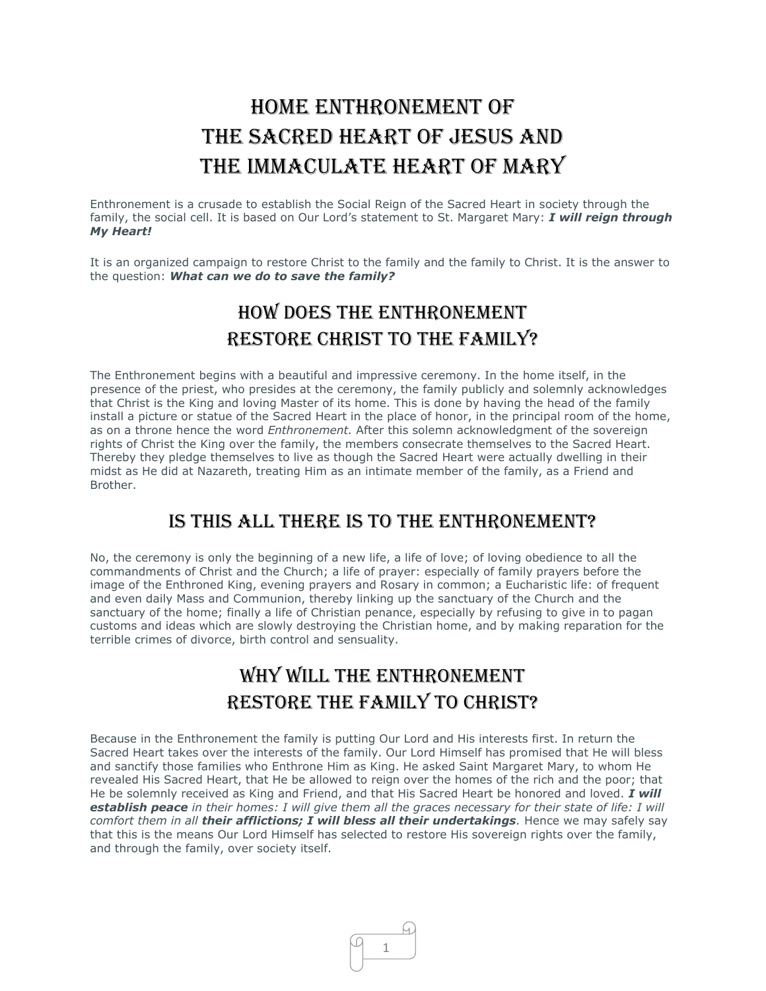# HOME ENTHRONEMENT OF The Sacred Heart of Jesus and The Immaculate Heart of Mary

Enthronement is a crusade to establish the Social Reign of the Sacred Heart in society through the family, the social cell. It is based on Our Lord's statement to St. Margaret Mary: *I will reign through My Heart!*

It is an organized campaign to restore Christ to the family and the family to Christ. It is the answer to the question: *What can we do to save the family?*

# How Does the Enthronement Restore Christ to the Family?

The Enthronement begins with a beautiful and impressive ceremony. In the home itself, in the presence of the priest, who presides at the ceremony, the family publicly and solemnly acknowledges that Christ is the King and loving Master of its home. This is done by having the head of the family install a picture or statue of the Sacred Heart in the place of honor, in the principal room of the home, as on a throne hence the word *Enthronement.* After this solemn acknowledgment of the sovereign rights of Christ the King over the family, the members consecrate themselves to the Sacred Heart. Thereby they pledge themselves to live as though the Sacred Heart were actually dwelling in their midst as He did at Nazareth, treating Him as an intimate member of the family, as a Friend and Brother.

#### Is This All There Is to the Enthronement?

No, the ceremony is only the beginning of a new life, a life of love; of loving obedience to all the commandments of Christ and the Church; a life of prayer: especially of family prayers before the image of the Enthroned King, evening prayers and Rosary in common; a Eucharistic life: of frequent and even daily Mass and Communion, thereby linking up the sanctuary of the Church and the sanctuary of the home; finally a life of Christian penance, especially by refusing to give in to pagan customs and ideas which are slowly destroying the Christian home, and by making reparation for the terrible crimes of divorce, birth control and sensuality.

# WHY WILL THE ENTHRONEMENT Restore the Family to Christ?

Because in the Enthronement the family is putting Our Lord and His interests first. In return the Sacred Heart takes over the interests of the family. Our Lord Himself has promised that He will bless and sanctify those families who Enthrone Him as King. He asked Saint Margaret Mary, to whom He revealed His Sacred Heart, that He be allowed to reign over the homes of the rich and the poor; that He be solemnly received as King and Friend, and that His Sacred Heart be honored and loved. *I will establish peace in their homes: I will give them all the graces necessary for their state of life: I will comfort them in all their afflictions; I will bless all their undertakings. Hence we may safely say* that this is the means Our Lord Himself has selected to restore His sovereign rights over the family, and through the family, over society itself.

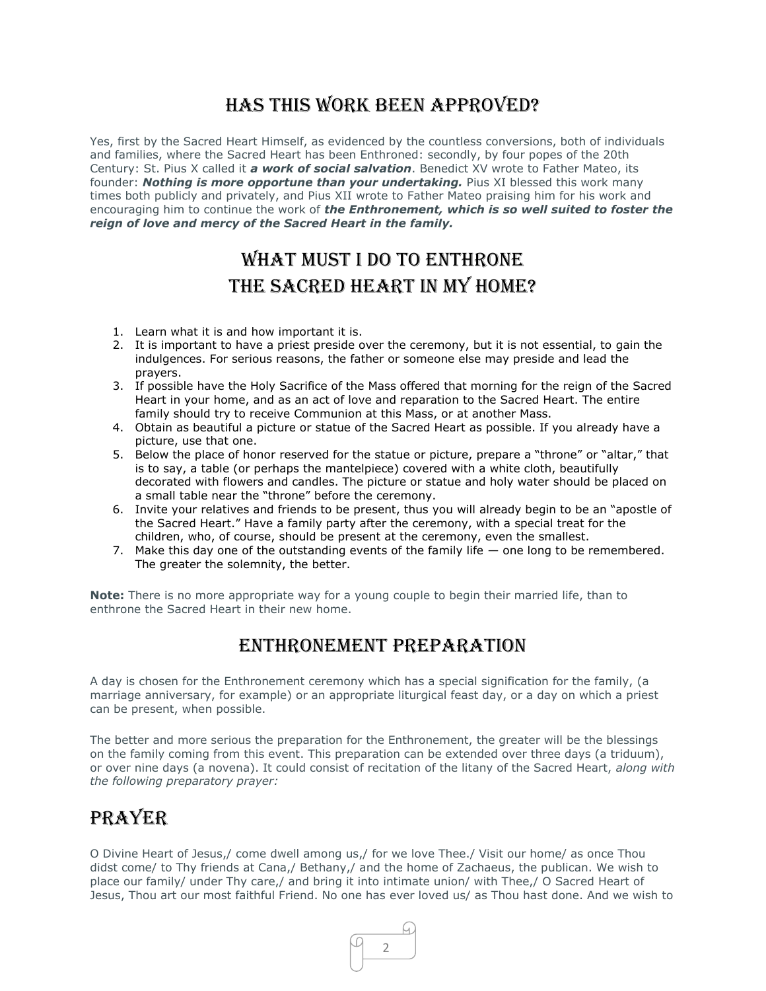## Has This Work Been Approved?

Yes, first by the Sacred Heart Himself, as evidenced by the countless conversions, both of individuals and families, where the Sacred Heart has been Enthroned: secondly, by four popes of the 20th Century: St. Pius X called it *a work of social salvation*. Benedict XV wrote to Father Mateo, its founder: *Nothing is more opportune than your undertaking.* Pius XI blessed this work many times both publicly and privately, and Pius XII wrote to Father Mateo praising him for his work and encouraging him to continue the work of *the Enthronement, which is so well suited to foster the reign of love and mercy of the Sacred Heart in the family.*

# WHAT MUST I DO TO ENTHRONE the Sacred Heart in My Home?

- 1. Learn what it is and how important it is.
- 2. It is important to have a priest preside over the ceremony, but it is not essential, to gain the indulgences. For serious reasons, the father or someone else may preside and lead the prayers.
- 3. If possible have the Holy Sacrifice of the Mass offered that morning for the reign of the Sacred Heart in your home, and as an act of love and reparation to the Sacred Heart. The entire family should try to receive Communion at this Mass, or at another Mass.
- 4. Obtain as beautiful a picture or statue of the Sacred Heart as possible. If you already have a picture, use that one.
- 5. Below the place of honor reserved for the statue or picture, prepare a "throne" or "altar," that is to say, a table (or perhaps the mantelpiece) covered with a white cloth, beautifully decorated with flowers and candles. The picture or statue and holy water should be placed on a small table near the "throne" before the ceremony.
- 6. Invite your relatives and friends to be present, thus you will already begin to be an "apostle of the Sacred Heart." Have a family party after the ceremony, with a special treat for the children, who, of course, should be present at the ceremony, even the smallest.
- 7. Make this day one of the outstanding events of the family life one long to be remembered. The greater the solemnity, the better.

**Note:** There is no more appropriate way for a young couple to begin their married life, than to enthrone the Sacred Heart in their new home.

#### Enthronement Preparation

A day is chosen for the Enthronement ceremony which has a special signification for the family, (a marriage anniversary, for example) or an appropriate liturgical feast day, or a day on which a priest can be present, when possible.

The better and more serious the preparation for the Enthronement, the greater will be the blessings on the family coming from this event. This preparation can be extended over three days (a triduum), or over nine days (a novena). It could consist of recitation of the litany of the Sacred Heart, *along with the following preparatory prayer:*

### **PRAYER**

O Divine Heart of Jesus,/ come dwell among us,/ for we love Thee./ Visit our home/ as once Thou didst come/ to Thy friends at Cana,/ Bethany,/ and the home of Zachaeus, the publican. We wish to place our family/ under Thy care,/ and bring it into intimate union/ with Thee,/ O Sacred Heart of Jesus, Thou art our most faithful Friend. No one has ever loved us/ as Thou hast done. And we wish to

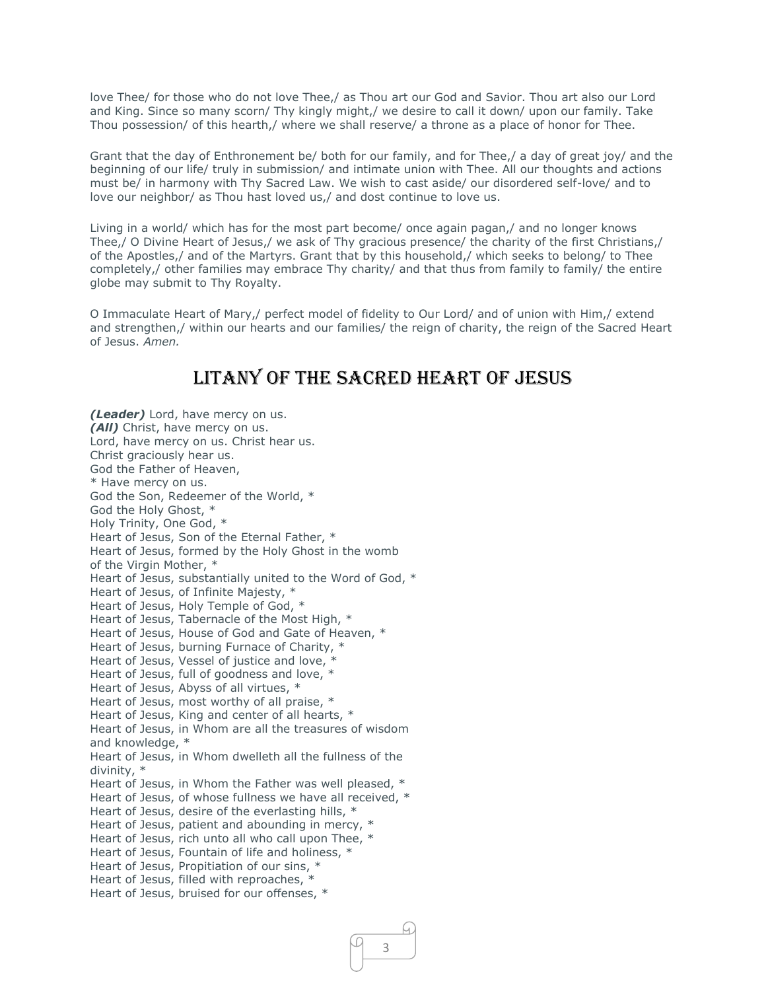love Thee/ for those who do not love Thee,/ as Thou art our God and Savior. Thou art also our Lord and King. Since so many scorn/ Thy kingly might,/ we desire to call it down/ upon our family. Take Thou possession/ of this hearth,/ where we shall reserve/ a throne as a place of honor for Thee.

Grant that the day of Enthronement be/ both for our family, and for Thee,/ a day of great joy/ and the beginning of our life/ truly in submission/ and intimate union with Thee. All our thoughts and actions must be/ in harmony with Thy Sacred Law. We wish to cast aside/ our disordered self-love/ and to love our neighbor/ as Thou hast loved us,/ and dost continue to love us.

Living in a world/ which has for the most part become/ once again pagan,/ and no longer knows Thee,/ O Divine Heart of Jesus,/ we ask of Thy gracious presence/ the charity of the first Christians,/ of the Apostles,/ and of the Martyrs. Grant that by this household,/ which seeks to belong/ to Thee completely,/ other families may embrace Thy charity/ and that thus from family to family/ the entire globe may submit to Thy Royalty.

O Immaculate Heart of Mary,/ perfect model of fidelity to Our Lord/ and of union with Him,/ extend and strengthen,/ within our hearts and our families/ the reign of charity, the reign of the Sacred Heart of Jesus. *Amen.*

## Litany of the Sacred Heart of Jesus

*(Leader)* Lord, have mercy on us. *(All)* Christ, have mercy on us. Lord, have mercy on us. Christ hear us. Christ graciously hear us. God the Father of Heaven, \* Have mercy on us. God the Son, Redeemer of the World, \* God the Holy Ghost, \* Holy Trinity, One God, \* Heart of Jesus, Son of the Eternal Father, \* Heart of Jesus, formed by the Holy Ghost in the womb of the Virgin Mother, \* Heart of Jesus, substantially united to the Word of God, \* Heart of Jesus, of Infinite Majesty, \* Heart of Jesus, Holy Temple of God, \* Heart of Jesus, Tabernacle of the Most High, \* Heart of Jesus, House of God and Gate of Heaven, \* Heart of Jesus, burning Furnace of Charity, \* Heart of Jesus, Vessel of justice and love, Heart of Jesus, full of goodness and love, \* Heart of Jesus, Abyss of all virtues, \* Heart of Jesus, most worthy of all praise, \* Heart of Jesus, King and center of all hearts, \* Heart of Jesus, in Whom are all the treasures of wisdom and knowledge, \* Heart of Jesus, in Whom dwelleth all the fullness of the divinity, \* Heart of Jesus, in Whom the Father was well pleased, \* Heart of Jesus, of whose fullness we have all received, \* Heart of Jesus, desire of the everlasting hills, \* Heart of Jesus, patient and abounding in mercy, \* Heart of Jesus, rich unto all who call upon Thee, \* Heart of Jesus, Fountain of life and holiness, \* Heart of Jesus, Propitiation of our sins, \* Heart of Jesus, filled with reproaches, \* Heart of Jesus, bruised for our offenses, \*

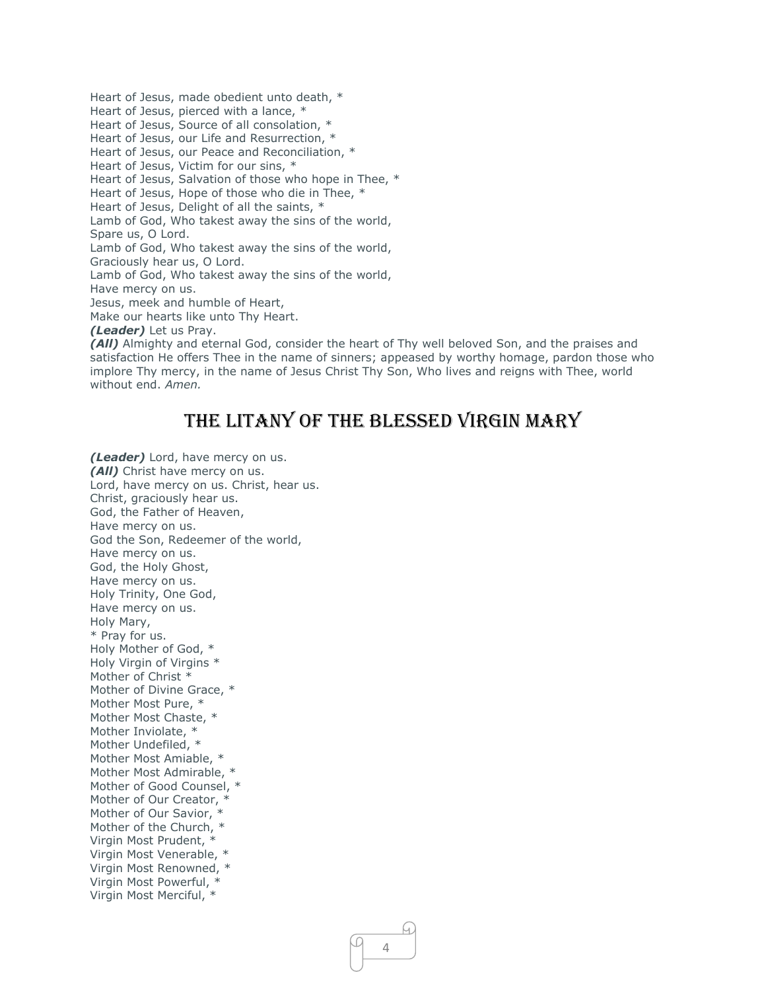Heart of Jesus, made obedient unto death, \* Heart of Jesus, pierced with a lance, \* Heart of Jesus, Source of all consolation, \* Heart of Jesus, our Life and Resurrection, \* Heart of Jesus, our Peace and Reconciliation, \* Heart of Jesus, Victim for our sins, \* Heart of Jesus, Salvation of those who hope in Thee, \* Heart of Jesus, Hope of those who die in Thee, \* Heart of Jesus, Delight of all the saints, \* Lamb of God, Who takest away the sins of the world, Spare us, O Lord. Lamb of God, Who takest away the sins of the world, Graciously hear us, O Lord. Lamb of God, Who takest away the sins of the world, Have mercy on us. Jesus, meek and humble of Heart, Make our hearts like unto Thy Heart. *(Leader)* Let us Pray.

*(All)* Almighty and eternal God, consider the heart of Thy well beloved Son, and the praises and satisfaction He offers Thee in the name of sinners; appeased by worthy homage, pardon those who implore Thy mercy, in the name of Jesus Christ Thy Son, Who lives and reigns with Thee, world without end. *Amen.*

### The Litany of the Blessed Virgin Mary

*(Leader)* Lord, have mercy on us. *(All)* Christ have mercy on us. Lord, have mercy on us. Christ, hear us. Christ, graciously hear us. God, the Father of Heaven, Have mercy on us. God the Son, Redeemer of the world, Have mercy on us. God, the Holy Ghost, Have mercy on us. Holy Trinity, One God, Have mercy on us. Holy Mary, \* Pray for us. Holy Mother of God, \* Holy Virgin of Virgins \* Mother of Christ \* Mother of Divine Grace, \* Mother Most Pure, \* Mother Most Chaste, \* Mother Inviolate, \* Mother Undefiled, \* Mother Most Amiable, \* Mother Most Admirable, \* Mother of Good Counsel, \* Mother of Our Creator, \* Mother of Our Savior, Mother of the Church, \* Virgin Most Prudent, \* Virgin Most Venerable, \* Virgin Most Renowned, \* Virgin Most Powerful, \* Virgin Most Merciful, \*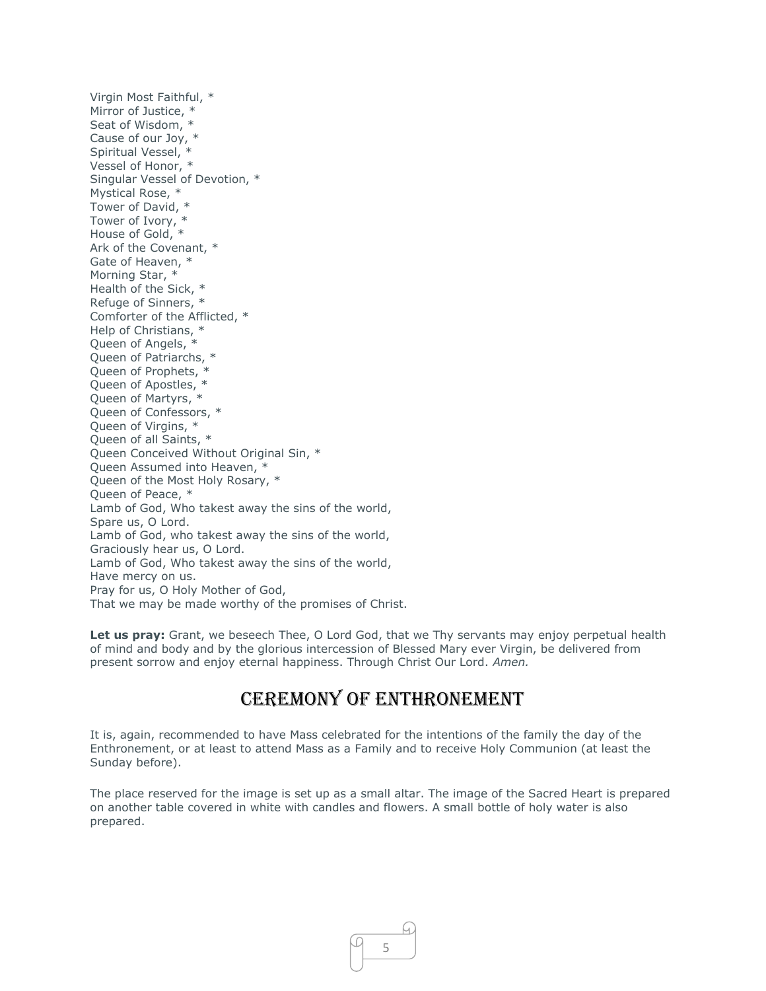Virgin Most Faithful, \* Mirror of Justice, \* Seat of Wisdom, \* Cause of our Joy, \* Spiritual Vessel, \* Vessel of Honor, \* Singular Vessel of Devotion, \* Mystical Rose, \* Tower of David, \* Tower of Ivory, \* House of Gold, \* Ark of the Covenant, \* Gate of Heaven, \* Morning Star, \* Health of the Sick, \* Refuge of Sinners, \* Comforter of the Afflicted, \* Help of Christians, \* Queen of Angels, \* Queen of Patriarchs, \* Queen of Prophets, \* Queen of Apostles, \* Queen of Martyrs, \* Queen of Confessors, \* Queen of Virgins, \* Queen of all Saints, \* Queen Conceived Without Original Sin, \* Queen Assumed into Heaven, \* Queen of the Most Holy Rosary, \* Queen of Peace, \* Lamb of God, Who takest away the sins of the world, Spare us, O Lord. Lamb of God, who takest away the sins of the world, Graciously hear us, O Lord. Lamb of God, Who takest away the sins of the world, Have mercy on us. Pray for us, O Holy Mother of God, That we may be made worthy of the promises of Christ.

Let us pray: Grant, we beseech Thee, O Lord God, that we Thy servants may enjoy perpetual health of mind and body and by the glorious intercession of Blessed Mary ever Virgin, be delivered from present sorrow and enjoy eternal happiness. Through Christ Our Lord. *Amen.*

### CEREMONY OF ENTHRONEMENT

It is, again, recommended to have Mass celebrated for the intentions of the family the day of the Enthronement, or at least to attend Mass as a Family and to receive Holy Communion (at least the Sunday before).

The place reserved for the image is set up as a small altar. The image of the Sacred Heart is prepared on another table covered in white with candles and flowers. A small bottle of holy water is also prepared.

5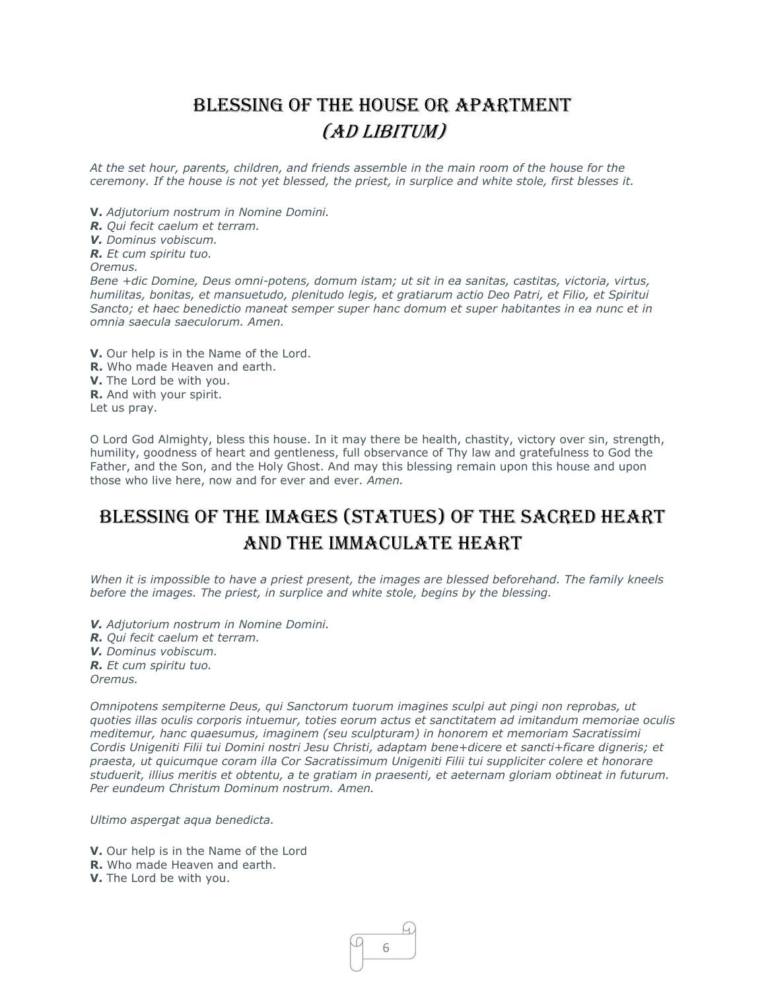# Blessing of the House or Apartment (ad libitum)

*At the set hour, parents, children, and friends assemble in the main room of the house for the ceremony. If the house is not yet blessed, the priest, in surplice and white stole, first blesses it.*

**V.** *Adjutorium nostrum in Nomine Domini.*

*R. Qui fecit caelum et terram.*

*V. Dominus vobiscum.*

*R. Et cum spiritu tuo.*

*Oremus.*

*Bene +dic Domine, Deus omni-potens, domum istam; ut sit in ea sanitas, castitas, victoria, virtus, humilitas, bonitas, et mansuetudo, plenitudo legis, et gratiarum actio Deo Patri, et Filio, et Spiritui Sancto; et haec benedictio maneat semper super hanc domum et super habitantes in ea nunc et in omnia saecula saeculorum. Amen.*

**V.** Our help is in the Name of the Lord. **R.** Who made Heaven and earth. **V.** The Lord be with you. **R.** And with your spirit. Let us pray.

O Lord God Almighty, bless this house. In it may there be health, chastity, victory over sin, strength, humility, goodness of heart and gentleness, full observance of Thy law and gratefulness to God the Father, and the Son, and the Holy Ghost. And may this blessing remain upon this house and upon those who live here, now and for ever and ever. *Amen.*

## Blessing of the Images (Statues) of the Sacred Heart and the Immaculate Heart

*When it is impossible to have a priest present, the images are blessed beforehand. The family kneels before the images. The priest, in surplice and white stole, begins by the blessing.*

- *V. Adjutorium nostrum in Nomine Domini.*
- *R. Qui fecit caelum et terram.*

*V. Dominus vobiscum.*

*R. Et cum spiritu tuo.*

*Oremus.*

*Omnipotens sempiterne Deus, qui Sanctorum tuorum imagines sculpi aut pingi non reprobas, ut quoties illas oculis corporis intuemur, toties eorum actus et sanctitatem ad imitandum memoriae oculis meditemur, hanc quaesumus, imaginem (seu sculpturam) in honorem et memoriam Sacratissimi Cordis Unigeniti Filii tui Domini nostri Jesu Christi, adaptam bene+dicere et sancti+ficare digneris; et praesta, ut quicumque coram illa Cor Sacratissimum Unigeniti Filii tui suppliciter colere et honorare studuerit, illius meritis et obtentu, a te gratiam in praesenti, et aeternam gloriam obtineat in futurum. Per eundeum Christum Dominum nostrum. Amen.*

6

ſu.

*Ultimo aspergat aqua benedicta.*

**V.** Our help is in the Name of the Lord

- **R.** Who made Heaven and earth.
- **V.** The Lord be with you.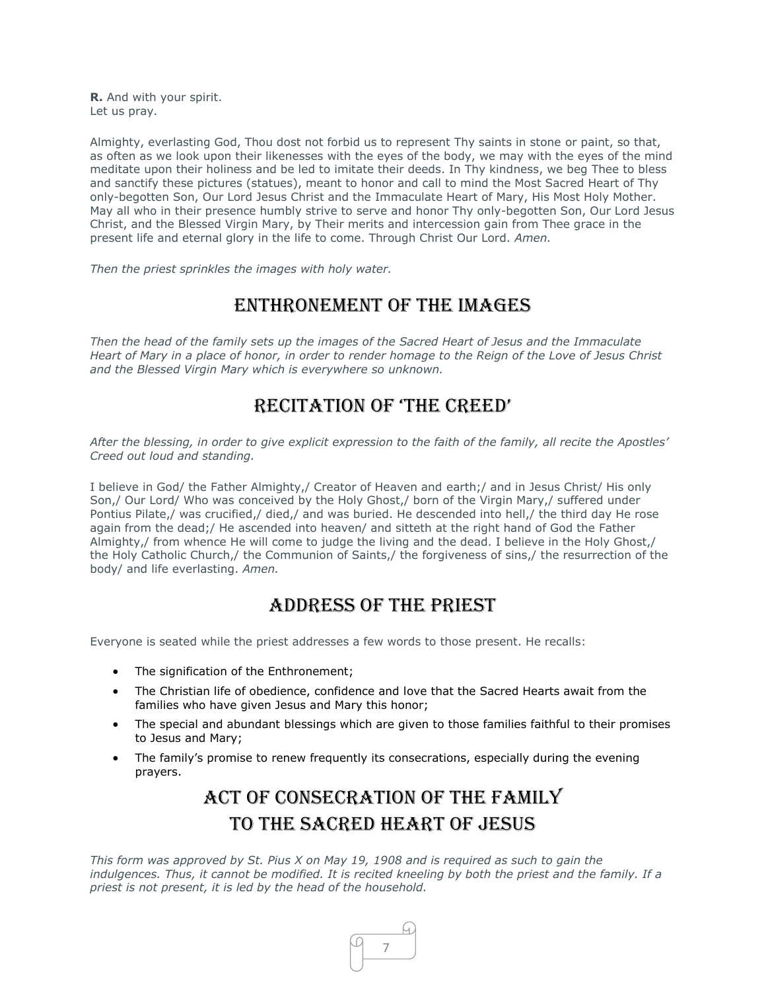**R.** And with your spirit. Let us pray.

Almighty, everlasting God, Thou dost not forbid us to represent Thy saints in stone or paint, so that, as often as we look upon their likenesses with the eyes of the body, we may with the eyes of the mind meditate upon their holiness and be led to imitate their deeds. In Thy kindness, we beg Thee to bless and sanctify these pictures (statues), meant to honor and call to mind the Most Sacred Heart of Thy only-begotten Son, Our Lord Jesus Christ and the Immaculate Heart of Mary, His Most Holy Mother. May all who in their presence humbly strive to serve and honor Thy only-begotten Son, Our Lord Jesus Christ, and the Blessed Virgin Mary, by Their merits and intercession gain from Thee grace in the present life and eternal glory in the life to come. Through Christ Our Lord. *Amen.*

*Then the priest sprinkles the images with holy water.* 

#### Enthronement of the Images

*Then the head of the family sets up the images of the Sacred Heart of Jesus and the Immaculate Heart of Mary in a place of honor, in order to render homage to the Reign of the Love of Jesus Christ and the Blessed Virgin Mary which is everywhere so unknown.*

### Recitation of 'the cReed'

*After the blessing, in order to give explicit expression to the faith of the family, all recite the Apostles' Creed out loud and standing.* 

I believe in God/ the Father Almighty,/ Creator of Heaven and earth;/ and in Jesus Christ/ His only Son,/ Our Lord/ Who was conceived by the Holy Ghost,/ born of the Virgin Mary,/ suffered under Pontius Pilate,/ was crucified,/ died,/ and was buried. He descended into hell,/ the third day He rose again from the dead;/ He ascended into heaven/ and sitteth at the right hand of God the Father Almighty,/ from whence He will come to judge the living and the dead. I believe in the Holy Ghost,/ the Holy Catholic Church,/ the Communion of Saints,/ the forgiveness of sins,/ the resurrection of the body/ and life everlasting. *Amen.*

### Address of the Priest

Everyone is seated while the priest addresses a few words to those present. He recalls:

- The signification of the Enthronement;
- The Christian life of obedience, confidence and love that the Sacred Hearts await from the families who have given Jesus and Mary this honor;
- The special and abundant blessings which are given to those families faithful to their promises to Jesus and Mary;
- The family's promise to renew frequently its consecrations, especially during the evening prayers.

# Act of Consecration of the Family to the Sacred Heart of Jesus

*This form was approved by St. Pius X on May 19, 1908 and is required as such to gain the indulgences. Thus, it cannot be modified. It is recited kneeling by both the priest and the family. If a priest is not present, it is led by the head of the household.*

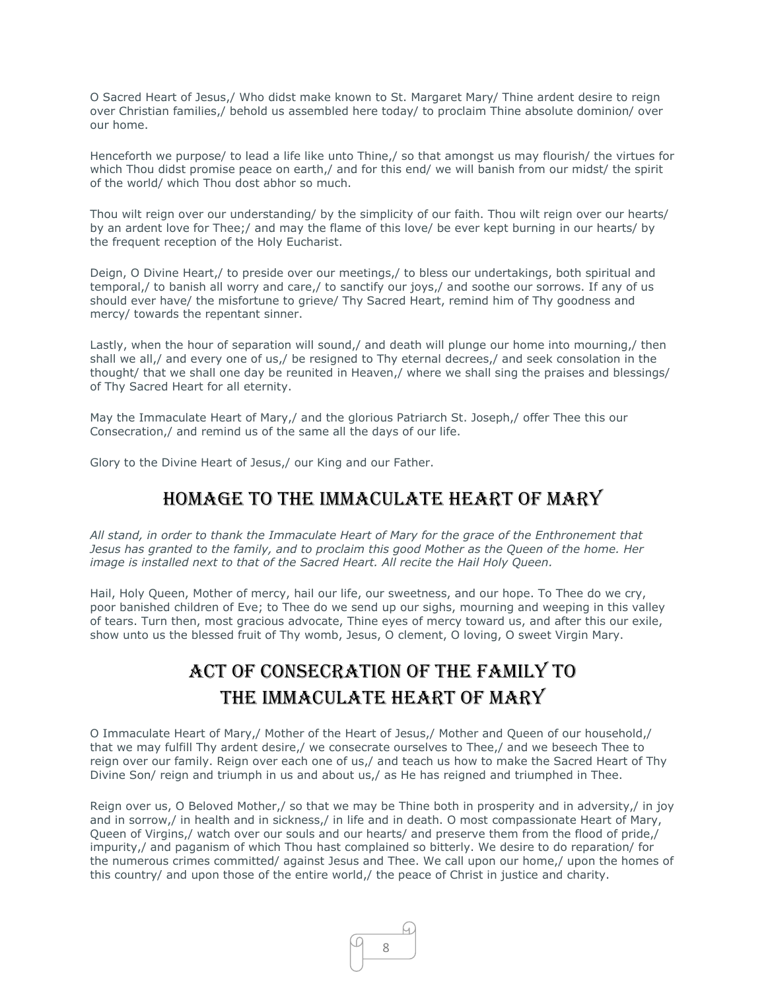O Sacred Heart of Jesus,/ Who didst make known to St. Margaret Mary/ Thine ardent desire to reign over Christian families,/ behold us assembled here today/ to proclaim Thine absolute dominion/ over our home.

Henceforth we purpose/ to lead a life like unto Thine,/ so that amongst us may flourish/ the virtues for which Thou didst promise peace on earth,/ and for this end/ we will banish from our midst/ the spirit of the world/ which Thou dost abhor so much.

Thou wilt reign over our understanding/ by the simplicity of our faith. Thou wilt reign over our hearts/ by an ardent love for Thee;/ and may the flame of this love/ be ever kept burning in our hearts/ by the frequent reception of the Holy Eucharist.

Deign, O Divine Heart,/ to preside over our meetings,/ to bless our undertakings, both spiritual and temporal,/ to banish all worry and care,/ to sanctify our joys,/ and soothe our sorrows. If any of us should ever have/ the misfortune to grieve/ Thy Sacred Heart, remind him of Thy goodness and mercy/ towards the repentant sinner.

Lastly, when the hour of separation will sound,/ and death will plunge our home into mourning,/ then shall we all,/ and every one of us,/ be resigned to Thy eternal decrees,/ and seek consolation in the thought/ that we shall one day be reunited in Heaven,/ where we shall sing the praises and blessings/ of Thy Sacred Heart for all eternity.

May the Immaculate Heart of Mary,/ and the glorious Patriarch St. Joseph,/ offer Thee this our Consecration,/ and remind us of the same all the days of our life.

Glory to the Divine Heart of Jesus,/ our King and our Father.

#### Homage to the Immaculate Heart of Mary

*All stand, in order to thank the Immaculate Heart of Mary for the grace of the Enthronement that Jesus has granted to the family, and to proclaim this good Mother as the Queen of the home. Her image is installed next to that of the Sacred Heart. All recite the Hail Holy Queen.*

Hail, Holy Queen, Mother of mercy, hail our life, our sweetness, and our hope. To Thee do we cry, poor banished children of Eve; to Thee do we send up our sighs, mourning and weeping in this valley of tears. Turn then, most gracious advocate, Thine eyes of mercy toward us, and after this our exile, show unto us the blessed fruit of Thy womb, Jesus, O clement, O loving, O sweet Virgin Mary.

# Act of Consecration of the Family to the Immaculate Heart of Mary

O Immaculate Heart of Mary,/ Mother of the Heart of Jesus,/ Mother and Queen of our household,/ that we may fulfill Thy ardent desire,/ we consecrate ourselves to Thee,/ and we beseech Thee to reign over our family. Reign over each one of us,/ and teach us how to make the Sacred Heart of Thy Divine Son/ reign and triumph in us and about us,/ as He has reigned and triumphed in Thee.

Reign over us, O Beloved Mother,/ so that we may be Thine both in prosperity and in adversity,/ in joy and in sorrow,/ in health and in sickness,/ in life and in death. O most compassionate Heart of Mary, Queen of Virgins,/ watch over our souls and our hearts/ and preserve them from the flood of pride,/ impurity,/ and paganism of which Thou hast complained so bitterly. We desire to do reparation/ for the numerous crimes committed/ against Jesus and Thee. We call upon our home,/ upon the homes of this country/ and upon those of the entire world,/ the peace of Christ in justice and charity.

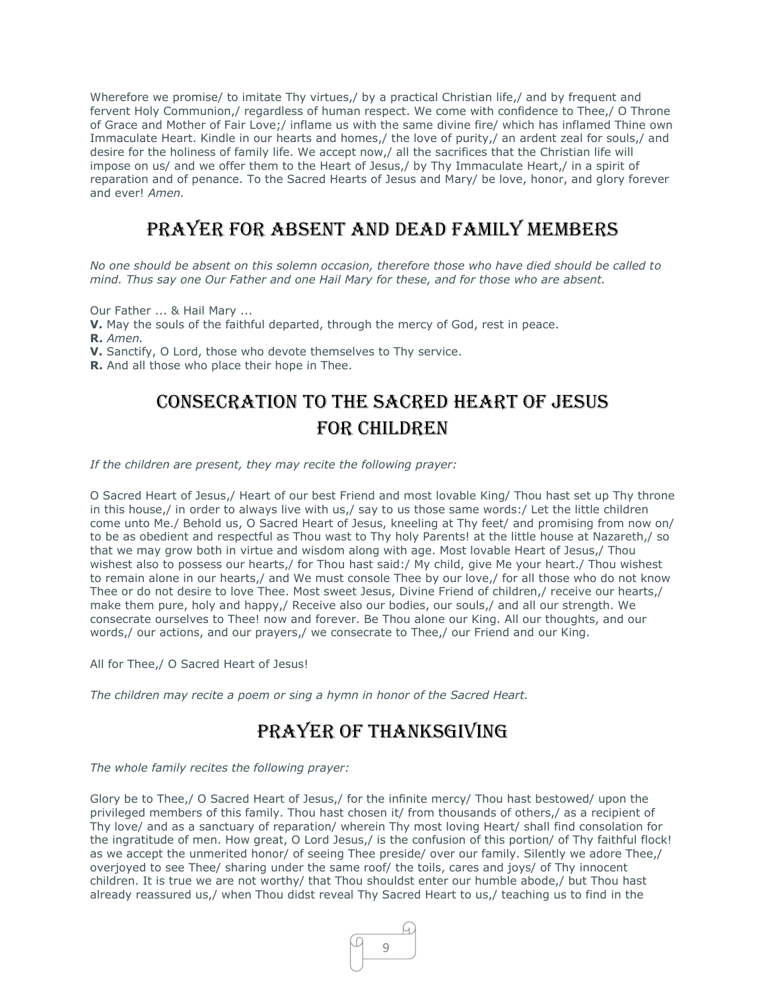Wherefore we promise/ to imitate Thy virtues,/ by a practical Christian life,/ and by frequent and fervent Holy Communion,/ regardless of human respect. We come with confidence to Thee,/ O Throne of Grace and Mother of Fair Love;/ inflame us with the same divine fire/ which has inflamed Thine own Immaculate Heart. Kindle in our hearts and homes,/ the love of purity,/ an ardent zeal for souls,/ and desire for the holiness of family life. We accept now,/ all the sacrifices that the Christian life will impose on us/ and we offer them to the Heart of Jesus,/ by Thy Immaculate Heart,/ in a spirit of reparation and of penance. To the Sacred Hearts of Jesus and Mary/ be love, honor, and glory forever and ever! *Amen.*

### Prayer for Absent and Dead Family Members

*No one should be absent on this solemn occasion, therefore those who have died should be called to mind. Thus say one Our Father and one Hail Mary for these, and for those who are absent.*

Our Father ... & Hail Mary ...

**V.** May the souls of the faithful departed, through the mercy of God, rest in peace. **R.** *Amen.*

**V.** Sanctify, O Lord, those who devote themselves to Thy service.

**R.** And all those who place their hope in Thee.

## Consecration to the Sacred Heart of Jesus For Children

*If the children are present, they may recite the following prayer:*

O Sacred Heart of Jesus,/ Heart of our best Friend and most lovable King/ Thou hast set up Thy throne in this house,/ in order to always live with us,/ say to us those same words:/ Let the little children come unto Me./ Behold us, O Sacred Heart of Jesus, kneeling at Thy feet/ and promising from now on/ to be as obedient and respectful as Thou wast to Thy holy Parents! at the little house at Nazareth,/ so that we may grow both in virtue and wisdom along with age. Most lovable Heart of Jesus,/ Thou wishest also to possess our hearts,/ for Thou hast said:/ My child, give Me your heart./ Thou wishest to remain alone in our hearts,/ and We must console Thee by our love,/ for all those who do not know Thee or do not desire to love Thee. Most sweet Jesus, Divine Friend of children,/ receive our hearts,/ make them pure, holy and happy,/ Receive also our bodies, our souls,/ and all our strength. We consecrate ourselves to Thee! now and forever. Be Thou alone our King. All our thoughts, and our words,/ our actions, and our prayers,/ we consecrate to Thee,/ our Friend and our King.

All for Thee,/ O Sacred Heart of Jesus!

*The children may recite a poem or sing a hymn in honor of the Sacred Heart.*

### Prayer of Thanksgiving

*The whole family recites the following prayer:*

Glory be to Thee,/ O Sacred Heart of Jesus,/ for the infinite mercy/ Thou hast bestowed/ upon the privileged members of this family. Thou hast chosen it/ from thousands of others,/ as a recipient of Thy love/ and as a sanctuary of reparation/ wherein Thy most loving Heart/ shall find consolation for the ingratitude of men. How great, O Lord Jesus,/ is the confusion of this portion/ of Thy faithful flock! as we accept the unmerited honor/ of seeing Thee preside/ over our family. Silently we adore Thee,/ overjoyed to see Thee/ sharing under the same roof/ the toils, cares and joys/ of Thy innocent children. It is true we are not worthy/ that Thou shouldst enter our humble abode,/ but Thou hast already reassured us,/ when Thou didst reveal Thy Sacred Heart to us,/ teaching us to find in the

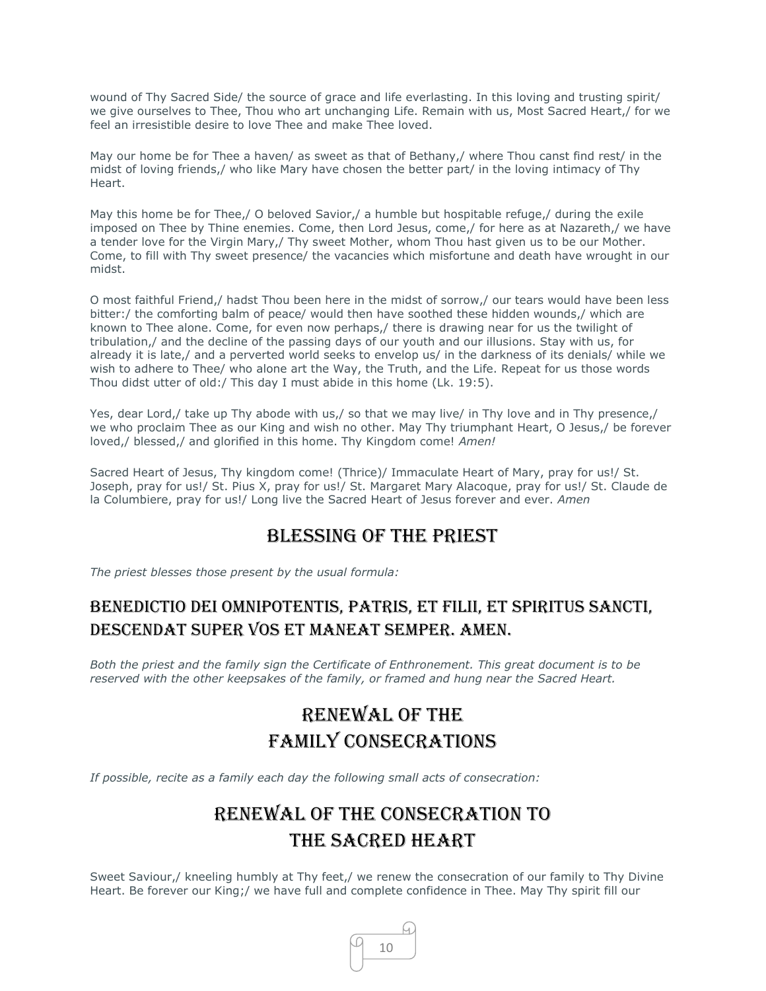wound of Thy Sacred Side/ the source of grace and life everlasting. In this loving and trusting spirit/ we give ourselves to Thee, Thou who art unchanging Life. Remain with us, Most Sacred Heart,/ for we feel an irresistible desire to love Thee and make Thee loved.

May our home be for Thee a haven/ as sweet as that of Bethany,/ where Thou canst find rest/ in the midst of loving friends,/ who like Mary have chosen the better part/ in the loving intimacy of Thy Heart.

May this home be for Thee,/ O beloved Savior,/ a humble but hospitable refuge,/ during the exile imposed on Thee by Thine enemies. Come, then Lord Jesus, come,/ for here as at Nazareth,/ we have a tender love for the Virgin Mary,/ Thy sweet Mother, whom Thou hast given us to be our Mother. Come, to fill with Thy sweet presence/ the vacancies which misfortune and death have wrought in our midst.

O most faithful Friend,/ hadst Thou been here in the midst of sorrow,/ our tears would have been less bitter:/ the comforting balm of peace/ would then have soothed these hidden wounds,/ which are known to Thee alone. Come, for even now perhaps,/ there is drawing near for us the twilight of tribulation,/ and the decline of the passing days of our youth and our illusions. Stay with us, for already it is late,/ and a perverted world seeks to envelop us/ in the darkness of its denials/ while we wish to adhere to Thee/ who alone art the Way, the Truth, and the Life. Repeat for us those words Thou didst utter of old:/ This day I must abide in this home (Lk. 19:5).

Yes, dear Lord,/ take up Thy abode with us,/ so that we may live/ in Thy love and in Thy presence,/ we who proclaim Thee as our King and wish no other. May Thy triumphant Heart, O Jesus,/ be forever loved,/ blessed,/ and glorified in this home. Thy Kingdom come! *Amen!*

Sacred Heart of Jesus, Thy kingdom come! (Thrice)/ Immaculate Heart of Mary, pray for us!/ St. Joseph, pray for us!/ St. Pius X, pray for us!/ St. Margaret Mary Alacoque, pray for us!/ St. Claude de la Columbiere, pray for us!/ Long live the Sacred Heart of Jesus forever and ever. *Amen*

#### Blessing of the Priest

*The priest blesses those present by the usual formula:* 

### Benedictio Dei omnipotentis, Patris, et Filii, et Spiritus Sancti, descendat super vos et maneat semper. Amen.

*Both the priest and the family sign the Certificate of Enthronement. This great document is to be reserved with the other keepsakes of the family, or framed and hung near the Sacred Heart.*

# Renewal of the Family Consecrations

*If possible, recite as a family each day the following small acts of consecration:*

# Renewal of the Consecration to the Sacred Heart

Sweet Saviour,/ kneeling humbly at Thy feet,/ we renew the consecration of our family to Thy Divine Heart. Be forever our King;/ we have full and complete confidence in Thee. May Thy spirit fill our

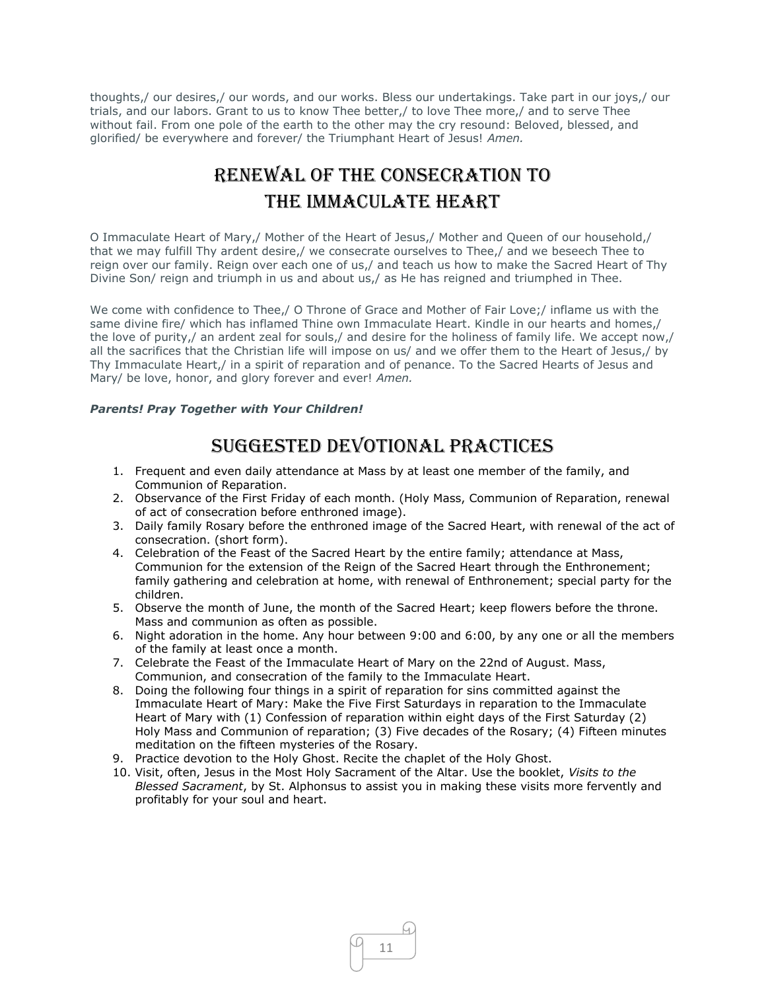thoughts,/ our desires,/ our words, and our works. Bless our undertakings. Take part in our joys,/ our trials, and our labors. Grant to us to know Thee better,/ to love Thee more,/ and to serve Thee without fail. From one pole of the earth to the other may the cry resound: Beloved, blessed, and glorified/ be everywhere and forever/ the Triumphant Heart of Jesus! *Amen.*

# Renewal of the Consecration to the Immaculate Heart

O Immaculate Heart of Mary,/ Mother of the Heart of Jesus,/ Mother and Queen of our household,/ that we may fulfill Thy ardent desire,/ we consecrate ourselves to Thee,/ and we beseech Thee to reign over our family. Reign over each one of us,/ and teach us how to make the Sacred Heart of Thy Divine Son/ reign and triumph in us and about us,/ as He has reigned and triumphed in Thee.

We come with confidence to Thee,/ O Throne of Grace and Mother of Fair Love;/ inflame us with the same divine fire/ which has inflamed Thine own Immaculate Heart. Kindle in our hearts and homes,/ the love of purity,/ an ardent zeal for souls,/ and desire for the holiness of family life. We accept now,/ all the sacrifices that the Christian life will impose on us/ and we offer them to the Heart of Jesus,/ by Thy Immaculate Heart,/ in a spirit of reparation and of penance. To the Sacred Hearts of Jesus and Mary/ be love, honor, and glory forever and ever! *Amen.*

#### *Parents! Pray Together with Your Children!*

### Suggested Devotional Practices

- 1. Frequent and even daily attendance at Mass by at least one member of the family, and Communion of Reparation.
- 2. Observance of the First Friday of each month. (Holy Mass, Communion of Reparation, renewal of act of consecration before enthroned image).
- 3. Daily family Rosary before the enthroned image of the Sacred Heart, with renewal of the act of consecration. (short form).
- 4. Celebration of the Feast of the Sacred Heart by the entire family; attendance at Mass, Communion for the extension of the Reign of the Sacred Heart through the Enthronement; family gathering and celebration at home, with renewal of Enthronement; special party for the children.
- 5. Observe the month of June, the month of the Sacred Heart; keep flowers before the throne. Mass and communion as often as possible.
- 6. Night adoration in the home. Any hour between 9:00 and 6:00, by any one or all the members of the family at least once a month.
- 7. Celebrate the Feast of the Immaculate Heart of Mary on the 22nd of August. Mass, Communion, and consecration of the family to the Immaculate Heart.
- 8. Doing the following four things in a spirit of reparation for sins committed against the Immaculate Heart of Mary: Make the Five First Saturdays in reparation to the Immaculate Heart of Mary with (1) Confession of reparation within eight days of the First Saturday (2) Holy Mass and Communion of reparation; (3) Five decades of the Rosary; (4) Fifteen minutes meditation on the fifteen mysteries of the Rosary.
- 9. Practice devotion to the Holy Ghost. Recite the chaplet of the Holy Ghost.
- 10. Visit, often, Jesus in the Most Holy Sacrament of the Altar. Use the booklet, *Visits to the Blessed Sacrament*, by St. Alphonsus to assist you in making these visits more fervently and profitably for your soul and heart.

11